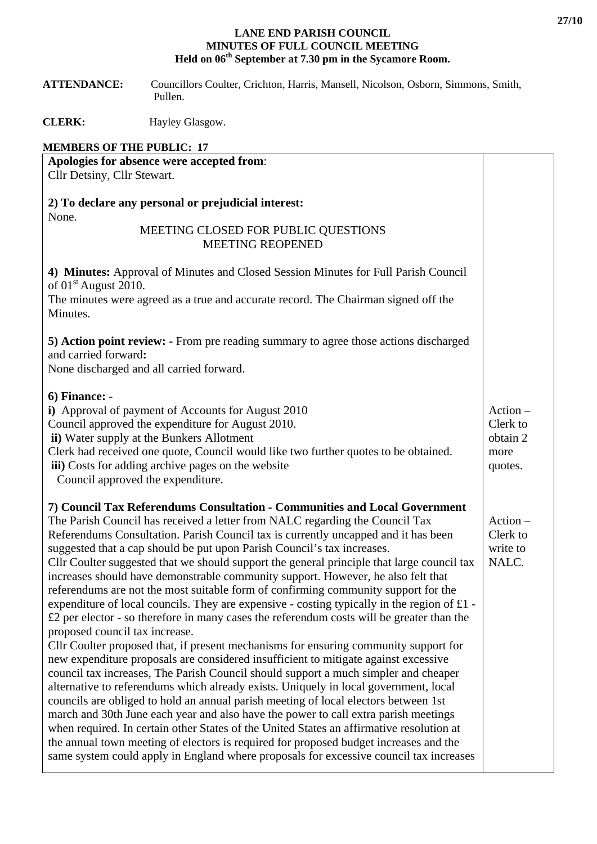## **LANE END PARISH COUNCIL MINUTES OF FULL COUNCIL MEETING Held on 06th September at 7.30 pm in the Sycamore Room.**

 **ATTENDANCE:** Councillors Coulter, Crichton, Harris, Mansell, Nicolson, Osborn, Simmons, Smith, Pullen.

**CLERK:** Hayley Glasgow.

## **MEMBERS OF THE PUBLIC: 17**

| Apologies for absence were accepted from:                                                                                                                                                                                                                                                                                                                                                                                                                                                                                                                                                                                                                                                                                                                                                                                                                                                                                                                                                                                                                                                                                                                                                                                                                                                                                                                                                                                                                                                                                                                                                                                                                      |                                                       |
|----------------------------------------------------------------------------------------------------------------------------------------------------------------------------------------------------------------------------------------------------------------------------------------------------------------------------------------------------------------------------------------------------------------------------------------------------------------------------------------------------------------------------------------------------------------------------------------------------------------------------------------------------------------------------------------------------------------------------------------------------------------------------------------------------------------------------------------------------------------------------------------------------------------------------------------------------------------------------------------------------------------------------------------------------------------------------------------------------------------------------------------------------------------------------------------------------------------------------------------------------------------------------------------------------------------------------------------------------------------------------------------------------------------------------------------------------------------------------------------------------------------------------------------------------------------------------------------------------------------------------------------------------------------|-------------------------------------------------------|
| Cllr Detsiny, Cllr Stewart.                                                                                                                                                                                                                                                                                                                                                                                                                                                                                                                                                                                                                                                                                                                                                                                                                                                                                                                                                                                                                                                                                                                                                                                                                                                                                                                                                                                                                                                                                                                                                                                                                                    |                                                       |
| 2) To declare any personal or prejudicial interest:<br>None.                                                                                                                                                                                                                                                                                                                                                                                                                                                                                                                                                                                                                                                                                                                                                                                                                                                                                                                                                                                                                                                                                                                                                                                                                                                                                                                                                                                                                                                                                                                                                                                                   |                                                       |
| MEETING CLOSED FOR PUBLIC QUESTIONS<br><b>MEETING REOPENED</b>                                                                                                                                                                                                                                                                                                                                                                                                                                                                                                                                                                                                                                                                                                                                                                                                                                                                                                                                                                                                                                                                                                                                                                                                                                                                                                                                                                                                                                                                                                                                                                                                 |                                                       |
| 4) Minutes: Approval of Minutes and Closed Session Minutes for Full Parish Council<br>of $01st$ August 2010.<br>The minutes were agreed as a true and accurate record. The Chairman signed off the<br>Minutes.                                                                                                                                                                                                                                                                                                                                                                                                                                                                                                                                                                                                                                                                                                                                                                                                                                                                                                                                                                                                                                                                                                                                                                                                                                                                                                                                                                                                                                                 |                                                       |
| 5) Action point review: - From pre reading summary to agree those actions discharged<br>and carried forward:<br>None discharged and all carried forward.                                                                                                                                                                                                                                                                                                                                                                                                                                                                                                                                                                                                                                                                                                                                                                                                                                                                                                                                                                                                                                                                                                                                                                                                                                                                                                                                                                                                                                                                                                       |                                                       |
| $6)$ Finance: -<br>i) Approval of payment of Accounts for August 2010<br>Council approved the expenditure for August 2010.<br>ii) Water supply at the Bunkers Allotment<br>Clerk had received one quote, Council would like two further quotes to be obtained.<br>iii) Costs for adding archive pages on the website<br>Council approved the expenditure.                                                                                                                                                                                                                                                                                                                                                                                                                                                                                                                                                                                                                                                                                                                                                                                                                                                                                                                                                                                                                                                                                                                                                                                                                                                                                                      | $Action -$<br>Clerk to<br>obtain 2<br>more<br>quotes. |
| 7) Council Tax Referendums Consultation - Communities and Local Government<br>The Parish Council has received a letter from NALC regarding the Council Tax<br>Referendums Consultation. Parish Council tax is currently uncapped and it has been<br>suggested that a cap should be put upon Parish Council's tax increases.<br>Cllr Coulter suggested that we should support the general principle that large council tax<br>increases should have demonstrable community support. However, he also felt that<br>referendums are not the most suitable form of confirming community support for the<br>expenditure of local councils. They are expensive - costing typically in the region of £1 -<br>$£2$ per elector - so therefore in many cases the referendum costs will be greater than the<br>proposed council tax increase.<br>Cllr Coulter proposed that, if present mechanisms for ensuring community support for<br>new expenditure proposals are considered insufficient to mitigate against excessive<br>council tax increases, The Parish Council should support a much simpler and cheaper<br>alternative to referendums which already exists. Uniquely in local government, local<br>councils are obliged to hold an annual parish meeting of local electors between 1st<br>march and 30th June each year and also have the power to call extra parish meetings<br>when required. In certain other States of the United States an affirmative resolution at<br>the annual town meeting of electors is required for proposed budget increases and the<br>same system could apply in England where proposals for excessive council tax increases | $Action -$<br>Clerk to<br>write to<br>NALC.           |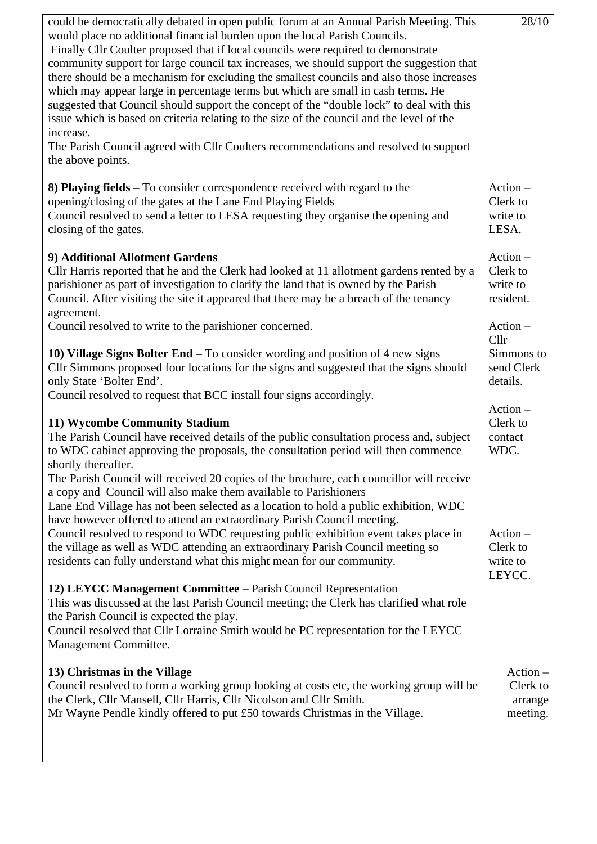| could be democratically debated in open public forum at an Annual Parish Meeting. This<br>would place no additional financial burden upon the local Parish Councils.<br>Finally Cllr Coulter proposed that if local councils were required to demonstrate<br>community support for large council tax increases, we should support the suggestion that<br>there should be a mechanism for excluding the smallest councils and also those increases<br>which may appear large in percentage terms but which are small in cash terms. He<br>suggested that Council should support the concept of the "double lock" to deal with this<br>issue which is based on criteria relating to the size of the council and the level of the<br>increase.<br>The Parish Council agreed with Cllr Coulters recommendations and resolved to support<br>the above points. | 28/10                                                   |
|----------------------------------------------------------------------------------------------------------------------------------------------------------------------------------------------------------------------------------------------------------------------------------------------------------------------------------------------------------------------------------------------------------------------------------------------------------------------------------------------------------------------------------------------------------------------------------------------------------------------------------------------------------------------------------------------------------------------------------------------------------------------------------------------------------------------------------------------------------|---------------------------------------------------------|
| 8) Playing fields – To consider correspondence received with regard to the<br>opening/closing of the gates at the Lane End Playing Fields<br>Council resolved to send a letter to LESA requesting they organise the opening and<br>closing of the gates.                                                                                                                                                                                                                                                                                                                                                                                                                                                                                                                                                                                                 | $Action -$<br>Clerk to<br>write to<br>LESA.             |
| 9) Additional Allotment Gardens<br>Cllr Harris reported that he and the Clerk had looked at 11 allotment gardens rented by a<br>parishioner as part of investigation to clarify the land that is owned by the Parish<br>Council. After visiting the site it appeared that there may be a breach of the tenancy<br>agreement.<br>Council resolved to write to the parishioner concerned.                                                                                                                                                                                                                                                                                                                                                                                                                                                                  | Action-<br>Clerk to<br>write to<br>resident.<br>Action- |
| 10) Village Signs Bolter End - To consider wording and position of 4 new signs<br>Cllr Simmons proposed four locations for the signs and suggested that the signs should<br>only State 'Bolter End'.<br>Council resolved to request that BCC install four signs accordingly.                                                                                                                                                                                                                                                                                                                                                                                                                                                                                                                                                                             | Cllr<br>Simmons to<br>send Clerk<br>details.            |
| 11) Wycombe Community Stadium<br>The Parish Council have received details of the public consultation process and, subject<br>to WDC cabinet approving the proposals, the consultation period will then commence<br>shortly thereafter.                                                                                                                                                                                                                                                                                                                                                                                                                                                                                                                                                                                                                   | Action-<br>Clerk to<br>contact<br>WDC.                  |
| The Parish Council will received 20 copies of the brochure, each councillor will receive<br>a copy and Council will also make them available to Parishioners<br>Lane End Village has not been selected as a location to hold a public exhibition, WDC<br>have however offered to attend an extraordinary Parish Council meeting.<br>Council resolved to respond to WDC requesting public exhibition event takes place in<br>the village as well as WDC attending an extraordinary Parish Council meeting so<br>residents can fully understand what this might mean for our community.                                                                                                                                                                                                                                                                    | $Action -$<br>Clerk to<br>write to<br>LEYCC.            |
| 12) LEYCC Management Committee - Parish Council Representation<br>This was discussed at the last Parish Council meeting; the Clerk has clarified what role<br>the Parish Council is expected the play.<br>Council resolved that Cllr Lorraine Smith would be PC representation for the LEYCC<br>Management Committee.                                                                                                                                                                                                                                                                                                                                                                                                                                                                                                                                    |                                                         |
| 13) Christmas in the Village<br>Council resolved to form a working group looking at costs etc, the working group will be<br>the Clerk, Cllr Mansell, Cllr Harris, Cllr Nicolson and Cllr Smith.<br>Mr Wayne Pendle kindly offered to put £50 towards Christmas in the Village.                                                                                                                                                                                                                                                                                                                                                                                                                                                                                                                                                                           | Action-<br>Clerk to<br>arrange<br>meeting.              |
|                                                                                                                                                                                                                                                                                                                                                                                                                                                                                                                                                                                                                                                                                                                                                                                                                                                          |                                                         |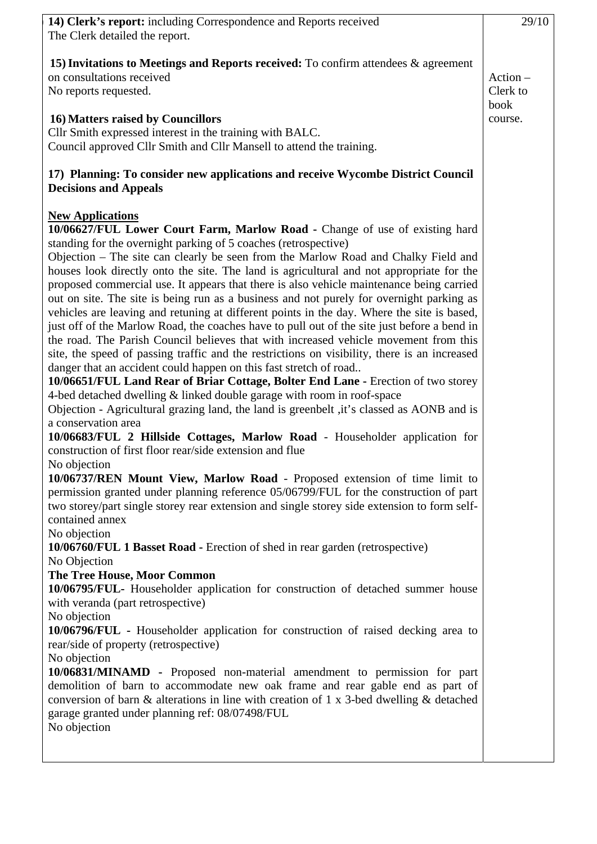| 14) Clerk's report: including Correspondence and Reports received<br>The Clerk detailed the report.                                                                                                                                                                                                                                                                                                                                                                                                                                                                                                                                                                                                                                                                                                                                                                                                                                                                                                                                                                                                                                                                                                                                                                                                                                                                                                                                                                                                                                                                                                                                                                                                                                                                                                                                                                                                                                                                                                                                                                                                                                                                                                                                                                                                                                                                                                                                                                                                                         | 29/10                          |
|-----------------------------------------------------------------------------------------------------------------------------------------------------------------------------------------------------------------------------------------------------------------------------------------------------------------------------------------------------------------------------------------------------------------------------------------------------------------------------------------------------------------------------------------------------------------------------------------------------------------------------------------------------------------------------------------------------------------------------------------------------------------------------------------------------------------------------------------------------------------------------------------------------------------------------------------------------------------------------------------------------------------------------------------------------------------------------------------------------------------------------------------------------------------------------------------------------------------------------------------------------------------------------------------------------------------------------------------------------------------------------------------------------------------------------------------------------------------------------------------------------------------------------------------------------------------------------------------------------------------------------------------------------------------------------------------------------------------------------------------------------------------------------------------------------------------------------------------------------------------------------------------------------------------------------------------------------------------------------------------------------------------------------------------------------------------------------------------------------------------------------------------------------------------------------------------------------------------------------------------------------------------------------------------------------------------------------------------------------------------------------------------------------------------------------------------------------------------------------------------------------------------------------|--------------------------------|
| 15) Invitations to Meetings and Reports received: To confirm attendees & agreement<br>on consultations received<br>No reports requested.                                                                                                                                                                                                                                                                                                                                                                                                                                                                                                                                                                                                                                                                                                                                                                                                                                                                                                                                                                                                                                                                                                                                                                                                                                                                                                                                                                                                                                                                                                                                                                                                                                                                                                                                                                                                                                                                                                                                                                                                                                                                                                                                                                                                                                                                                                                                                                                    | $Action -$<br>Clerk to<br>book |
| 16) Matters raised by Councillors<br>Cllr Smith expressed interest in the training with BALC.<br>Council approved Cllr Smith and Cllr Mansell to attend the training.                                                                                                                                                                                                                                                                                                                                                                                                                                                                                                                                                                                                                                                                                                                                                                                                                                                                                                                                                                                                                                                                                                                                                                                                                                                                                                                                                                                                                                                                                                                                                                                                                                                                                                                                                                                                                                                                                                                                                                                                                                                                                                                                                                                                                                                                                                                                                       | course.                        |
| 17) Planning: To consider new applications and receive Wycombe District Council<br><b>Decisions and Appeals</b>                                                                                                                                                                                                                                                                                                                                                                                                                                                                                                                                                                                                                                                                                                                                                                                                                                                                                                                                                                                                                                                                                                                                                                                                                                                                                                                                                                                                                                                                                                                                                                                                                                                                                                                                                                                                                                                                                                                                                                                                                                                                                                                                                                                                                                                                                                                                                                                                             |                                |
| <b>New Applications</b><br>10/06627/FUL Lower Court Farm, Marlow Road - Change of use of existing hard<br>standing for the overnight parking of 5 coaches (retrospective)<br>Objection – The site can clearly be seen from the Marlow Road and Chalky Field and<br>houses look directly onto the site. The land is agricultural and not appropriate for the<br>proposed commercial use. It appears that there is also vehicle maintenance being carried<br>out on site. The site is being run as a business and not purely for overnight parking as<br>vehicles are leaving and retuning at different points in the day. Where the site is based,<br>just off of the Marlow Road, the coaches have to pull out of the site just before a bend in<br>the road. The Parish Council believes that with increased vehicle movement from this<br>site, the speed of passing traffic and the restrictions on visibility, there is an increased<br>danger that an accident could happen on this fast stretch of road<br>10/06651/FUL Land Rear of Briar Cottage, Bolter End Lane - Erection of two storey<br>4-bed detached dwelling & linked double garage with room in roof-space<br>Objection - Agricultural grazing land, the land is greenbelt , it's classed as AONB and is<br>a conservation area<br>10/06683/FUL 2 Hillside Cottages, Marlow Road - Householder application for<br>construction of first floor rear/side extension and flue<br>No objection<br>10/06737/REN Mount View, Marlow Road - Proposed extension of time limit to<br>permission granted under planning reference 05/06799/FUL for the construction of part<br>two storey/part single storey rear extension and single storey side extension to form self-<br>contained annex<br>No objection<br>10/06760/FUL 1 Basset Road - Erection of shed in rear garden (retrospective)<br>No Objection<br>The Tree House, Moor Common<br>10/06795/FUL- Householder application for construction of detached summer house<br>with veranda (part retrospective)<br>No objection<br>10/06796/FUL - Householder application for construction of raised decking area to<br>rear/side of property (retrospective)<br>No objection<br>10/06831/MINAMD - Proposed non-material amendment to permission for part<br>demolition of barn to accommodate new oak frame and rear gable end as part of<br>conversion of barn $\&$ alterations in line with creation of 1 x 3-bed dwelling $\&$ detached<br>garage granted under planning ref: 08/07498/FUL<br>No objection |                                |
|                                                                                                                                                                                                                                                                                                                                                                                                                                                                                                                                                                                                                                                                                                                                                                                                                                                                                                                                                                                                                                                                                                                                                                                                                                                                                                                                                                                                                                                                                                                                                                                                                                                                                                                                                                                                                                                                                                                                                                                                                                                                                                                                                                                                                                                                                                                                                                                                                                                                                                                             |                                |